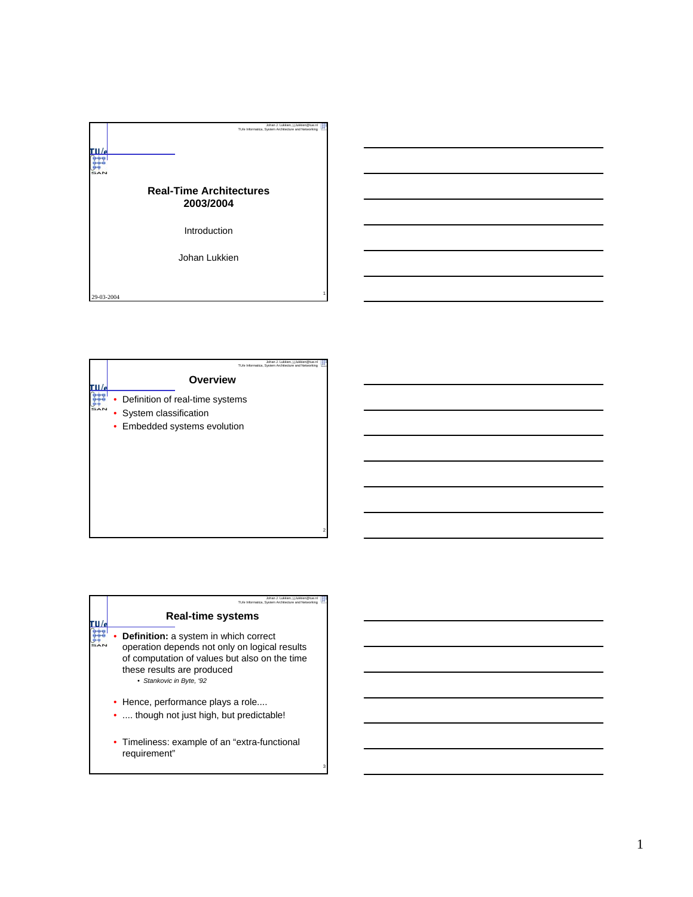|            | Johan J. Lukkien, j.j.lukkien@tue.nl<br>TU/e Informatica, System Architecture and Networking |  |
|------------|----------------------------------------------------------------------------------------------|--|
|            |                                                                                              |  |
|            | <b>Real-Time Architectures</b><br>2003/2004                                                  |  |
|            | Introduction                                                                                 |  |
|            | Johan Lukkien                                                                                |  |
| 29-03-2004 |                                                                                              |  |

| Johan J. Lukkien, j.j.lukkien@tue.nl                 |   |
|------------------------------------------------------|---|
| TU/e Informatica. System Architecture and Networking |   |
| Overview                                             |   |
| • Definition of real-time systems                    |   |
| System classification                                |   |
| • Embedded systems evolution                         |   |
|                                                      |   |
|                                                      |   |
|                                                      |   |
|                                                      |   |
|                                                      |   |
|                                                      |   |
|                                                      |   |
|                                                      | 2 |

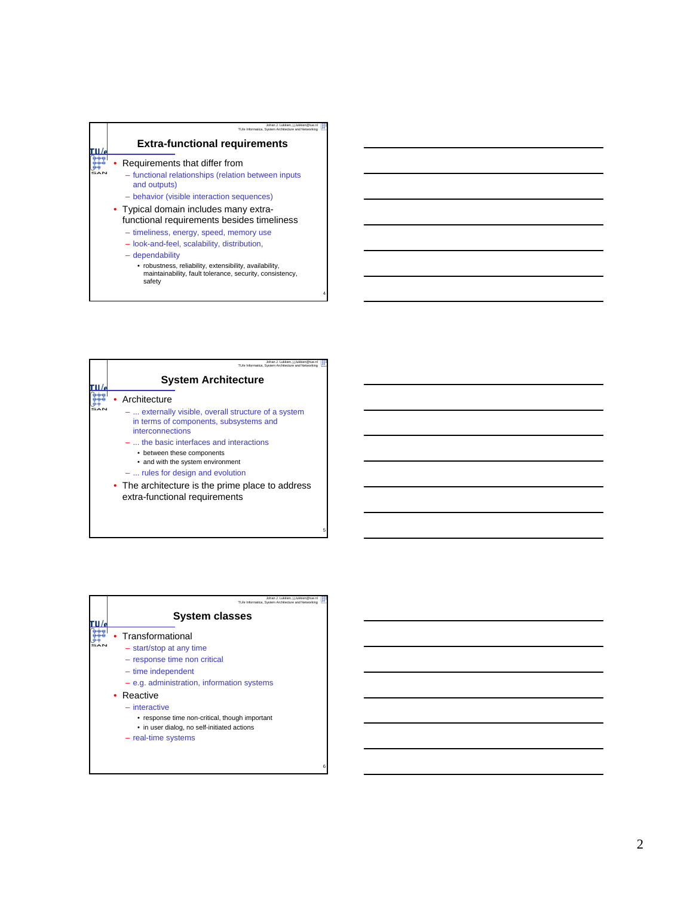

4

5

6

| Johan J. Lukkien, j.j.lukkien@tue.nl<br>TU/e Informatica, System Architecture and Networking                                                                                                                                                                                                                                                                                   |
|--------------------------------------------------------------------------------------------------------------------------------------------------------------------------------------------------------------------------------------------------------------------------------------------------------------------------------------------------------------------------------|
| <b>System Architecture</b>                                                                                                                                                                                                                                                                                                                                                     |
| Architecture<br>$-$ externally visible, overall structure of a system<br>in terms of components, subsystems and<br>interconnections<br>$-$ the basic interfaces and interactions<br>• between these components<br>• and with the system environment<br>$-$ rules for design and evolution<br>• The architecture is the prime place to address<br>extra-functional requirements |
|                                                                                                                                                                                                                                                                                                                                                                                |

| Johan J. Lukkien. i Llukkien@tue.n<br>TU/e Informatica. System Architecture and Networking                                                                                                                                                                                                                  |
|-------------------------------------------------------------------------------------------------------------------------------------------------------------------------------------------------------------------------------------------------------------------------------------------------------------|
| <b>System classes</b>                                                                                                                                                                                                                                                                                       |
| Transformational<br>- start/stop at any time<br>- response time non critical<br>$-$ time independent<br>$-$ e.g. administration, information systems<br>• Reactive<br>- interactive<br>• response time non-critical, though important<br>• in user dialog, no self-initiated actions<br>- real-time systems |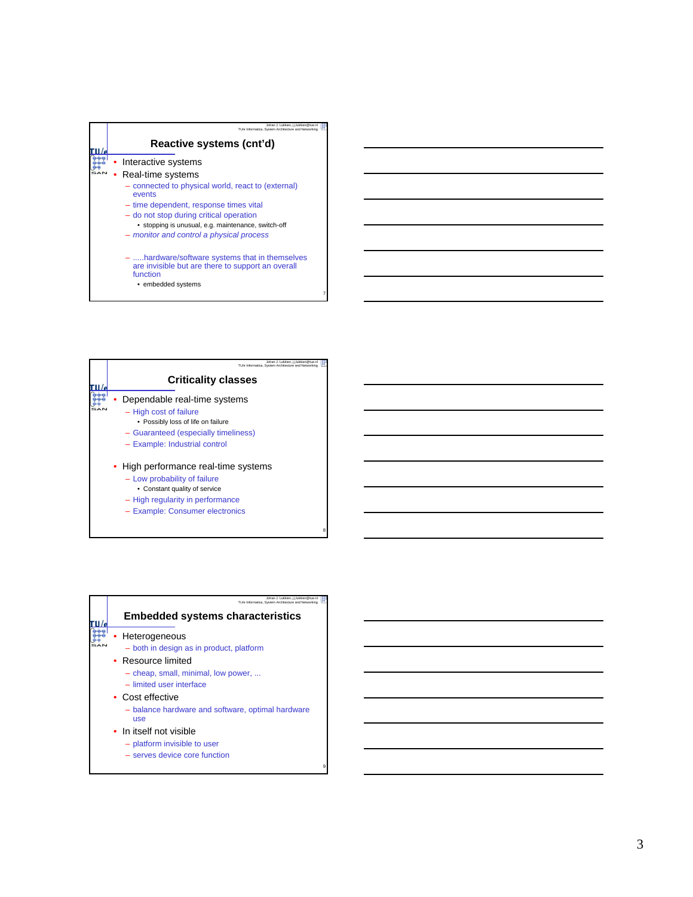| Johan J. Lukkien, j.j.lukkien@tue.nl<br>TU/e Informatica, System Architecture and Networking        |
|-----------------------------------------------------------------------------------------------------|
| Reactive systems (cnt'd)                                                                            |
| Interactive systems                                                                                 |
| • Real-time systems                                                                                 |
| - connected to physical world, react to (external)<br>events                                        |
| - time dependent, response times vital                                                              |
| - do not stop during critical operation                                                             |
| • stopping is unusual, e.g. maintenance, switch-off                                                 |
| - monitor and control a physical process                                                            |
| - hardware/software systems that in themselves<br>are invisible but are there to support an overall |

7

8

function • embedded systems

| Johan J. Lukkien, j.j.lukkien@tue.nl<br>TU/e Informatica, System Architecture and Networking                                                                                 |
|------------------------------------------------------------------------------------------------------------------------------------------------------------------------------|
| <b>Criticality classes</b>                                                                                                                                                   |
| Dependable real-time systems<br>- High cost of failure<br>• Possibly loss of life on failure<br>- Guaranteed (especially timeliness)<br>- Example: Industrial control        |
| • High performance real-time systems<br>- Low probability of failure<br>• Constant quality of service<br>- High regularity in performance<br>- Example: Consumer electronics |

| TU/e Informatica. System Architecture and Networking<br><b>Embedded systems characteristics</b>                                                                                                                                    |   |
|------------------------------------------------------------------------------------------------------------------------------------------------------------------------------------------------------------------------------------|---|
| Heterogeneous<br>- both in design as in product, platform<br>• Resource limited<br>- cheap, small, minimal, low power,<br>- limited user interface<br>• Cost effective<br>- balance hardware and software, optimal hardware<br>use |   |
| • In itself not visible<br>- platform invisible to user<br>- serves device core function                                                                                                                                           | g |